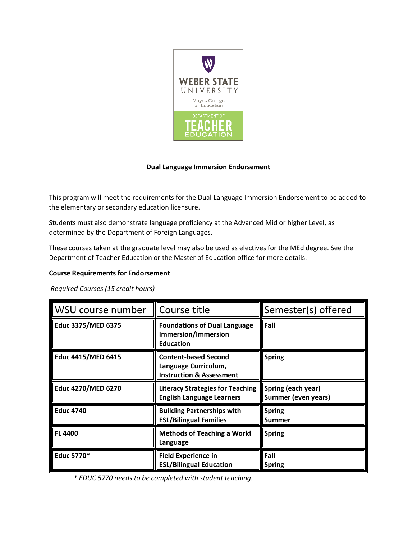

## **Dual Language Immersion Endorsement**

This program will meet the requirements for the Dual Language Immersion Endorsement to be added to the elementary or secondary education licensure.

Students must also demonstrate language proficiency at the Advanced Mid or higher Level, as determined by the Department of Foreign Languages.

These courses taken at the graduate level may also be used as electives for the MEd degree. See the Department of Teacher Education or the Master of Education office for more details.

## **Course Requirements for Endorsement**

*Required Courses (15 credit hours)* 

| WSU course number         | Course title                                                                               | Semester(s) offered                              |
|---------------------------|--------------------------------------------------------------------------------------------|--------------------------------------------------|
| Educ 3375/MED 6375        | <b>Foundations of Dual Language</b><br><b>Immersion/Immersion</b><br><b>Education</b>      | Fall                                             |
| <b>Educ 4415/MED 6415</b> | <b>Content-based Second</b><br>Language Curriculum,<br><b>Instruction &amp; Assessment</b> | <b>Spring</b>                                    |
| <b>Educ 4270/MED 6270</b> | <b>Literacy Strategies for Teaching</b><br><b>English Language Learners</b>                | Spring (each year)<br><b>Summer (even years)</b> |
| <b>Educ 4740</b>          | <b>Building Partnerships with</b><br><b>ESL/Bilingual Families</b>                         | <b>Spring</b><br>Summer                          |
| <b>FL 4400</b>            | <b>Methods of Teaching a World</b><br>Language                                             | <b>Spring</b>                                    |
| <b>Educ 5770*</b>         | <b>Field Experience in</b><br><b>ESL/Bilingual Education</b>                               | Fall<br><b>Spring</b>                            |

*\* EDUC 5770 needs to be completed with student teaching.*